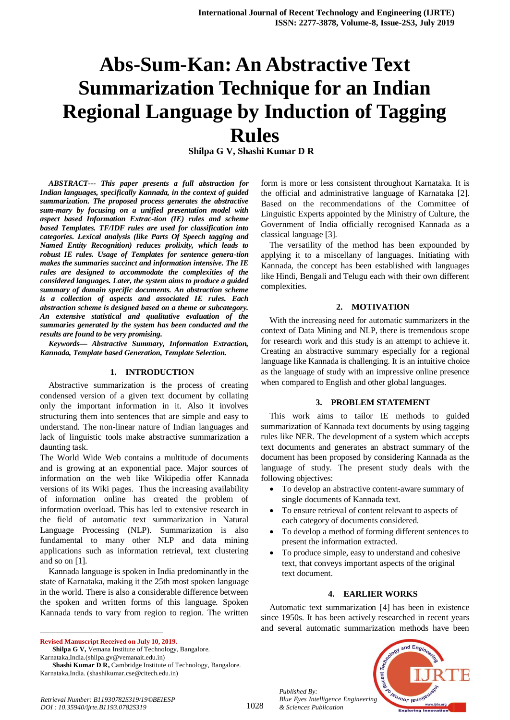# **Abs-Sum-Kan: An Abstractive Text Summarization Technique for an Indian Regional Language by Induction of Tagging Rules**

**Shilpa G V, Shashi Kumar D R**

*ABSTRACT--- This paper presents a full abstraction for Indian languages, specifically Kannada, in the context of guided summarization. The proposed process generates the abstractive sum-mary by focusing on a unified presentation model with aspect based Information Extrac-tion (IE) rules and scheme based Templates. TF/IDF rules are used for classification into categories. Lexical analysis (like Parts Of Speech tagging and Named Entity Recognition) reduces prolixity, which leads to robust IE rules. Usage of Templates for sentence genera-tion makes the summaries succinct and information intensive. The IE rules are designed to accommodate the complexities of the considered languages. Later, the system aims to produce a guided summary of domain specific documents. An abstraction scheme is a collection of aspects and associated IE rules. Each abstraction scheme is designed based on a theme or subcategory. An extensive statistical and qualitative evaluation of the summaries generated by the system has been conducted and the results are found to be very promising.*

*Keywords— Abstractive Summary, Information Extraction, Kannada, Template based Generation, Template Selection.*

#### **1. INTRODUCTION**

Abstractive summarization is the process of creating condensed version of a given text document by collating only the important information in it. Also it involves structuring them into sentences that are simple and easy to understand. The non-linear nature of Indian languages and lack of linguistic tools make abstractive summarization a daunting task.

The World Wide Web contains a multitude of documents and is growing at an exponential pace. Major sources of information on the web like Wikipedia offer Kannada versions of its Wiki pages. Thus the increasing availability of information online has created the problem of information overload. This has led to extensive research in the field of automatic text summarization in Natural Language Processing (NLP). Summarization is also fundamental to many other NLP and data mining applications such as information retrieval, text clustering and so on [1].

Kannada language is spoken in India predominantly in the state of Karnataka, making it the 25th most spoken language in the world. There is also a considerable difference between the spoken and written forms of this language. Spoken Kannada tends to vary from region to region. The written

**Revised Manuscript Received on July 10, 2019.**

 $\ddot{\phantom{a}}$ 

**Shilpa G V,** Vemana Institute of Technology, Bangalore. Karnataka,India.(shilpa.gv@vemanait.edu.in)

Shashi Kumar D R, Cambridge Institute of Technology, Bangalore. Karnataka,India. (shashikumar.cse@citech.edu.in)

form is more or less consistent throughout Karnataka. It is the official and administrative language of Karnataka [2]. Based on the recommendations of the Committee of Linguistic Experts appointed by the Ministry of Culture, the Government of India officially recognised Kannada as a classical language [3].

The versatility of the method has been expounded by applying it to a miscellany of languages. Initiating with Kannada, the concept has been established with languages like Hindi, Bengali and Telugu each with their own different complexities.

#### **2. MOTIVATION**

With the increasing need for automatic summarizers in the context of Data Mining and NLP, there is tremendous scope for research work and this study is an attempt to achieve it. Creating an abstractive summary especially for a regional language like Kannada is challenging. It is an intuitive choice as the language of study with an impressive online presence when compared to English and other global languages.

#### **3. PROBLEM STATEMENT**

This work aims to tailor IE methods to guided summarization of Kannada text documents by using tagging rules like NER. The development of a system which accepts text documents and generates an abstract summary of the document has been proposed by considering Kannada as the language of study. The present study deals with the following objectives:

- To develop an abstractive content-aware summary of single documents of Kannada text.
- To ensure retrieval of content relevant to aspects of each category of documents considered.
- To develop a method of forming different sentences to present the information extracted.
- To produce simple, easy to understand and cohesive text, that conveys important aspects of the original text document.

#### **4. EARLIER WORKS**

Automatic text summarization [4] has been in existence since 1950s. It has been actively researched in recent years and several automatic summarization methods have been



*Retrieval Number: B11930782S319/19©BEIESP DOI : 10.35940/ijrte.B1193.0782S319*

*Published By:*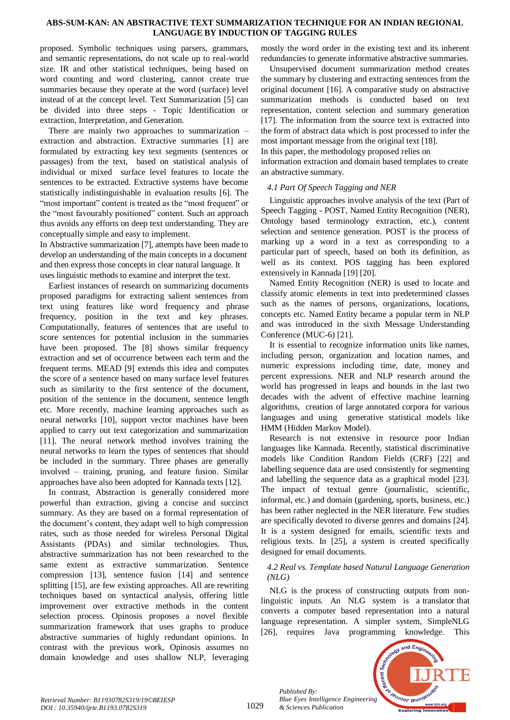proposed. Symbolic techniques using parsers, grammars, and semantic representations, do not scale up to real-world size. IR and other statistical techniques, being based on word counting and word clustering, cannot create true summaries because they operate at the word (surface) level instead of at the concept level. Text Summarization [5] can be divided into three steps - Topic Identification or extraction, Interpretation, and Generation.

There are mainly two approaches to summarization – extraction and abstraction. Extractive summaries [1] are formulated by extracting key text segments (sentences or passages) from the text, based on statistical analysis of individual or mixed surface level features to locate the sentences to be extracted. Extractive systems have become statistically indistinguishable in evaluation results [6]. The "most important" content is treated as the "most frequent" or the "most favourably positioned" content. Such an approach thus avoids any efforts on deep text understanding. They are conceptually simple and easy to implement.

In Abstractive summarization [7], attempts have been made to develop an understanding of the main concepts in a document and then express those concepts in clear natural language. It uses linguistic methods to examine and interpret the text.

Earliest instances of research on summarizing documents proposed paradigms for extracting salient sentences from text using features like word frequency and phrase frequency, position in the text and key phrases. Computationally, features of sentences that are useful to score sentences for potential inclusion in the summaries have been proposed. The [8] shows similar frequency extraction and set of occurrence between each term and the frequent terms. MEAD [9] extends this idea and computes the score of a sentence based on many surface level features such as similarity to the first sentence of the document, position of the sentence in the document, sentence length etc. More recently, machine learning approaches such as neural networks [10], support vector machines have been applied to carry out text categorization and summarization [11]. The neural network method involves training the neural networks to learn the types of sentences that should be included in the summary. Three phases are generally involved – training, pruning, and feature fusion. Similar approaches have also been adopted for Kannada texts [12].

In contrast, Abstraction is generally considered more powerful than extraction, giving a concise and succinct summary. As they are based on a formal representation of the document's content, they adapt well to high compression rates, such as those needed for wireless Personal Digital Assistants (PDAs) and similar technologies. Thus, abstractive summarization has not been researched to the same extent as extractive summarization. Sentence compression [13], sentence fusion [14] and sentence splitting [15], are few existing approaches. All are rewriting techniques based on syntactical analysis, offering little improvement over extractive methods in the content selection process. Opinosis proposes a novel flexible summarization framework that uses graphs to produce abstractive summaries of highly redundant opinions. In contrast with the previous work, Opinosis assumes no domain knowledge and uses shallow NLP, leveraging

mostly the word order in the existing text and its inherent redundancies to generate informative abstractive summaries.

Unsupervised document summarization method creates the summary by clustering and extracting sentences from the original document [16]. A comparative study on abstractive summarization methods is conducted based on text representation, content selection and summary generation [17]. The information from the source text is extracted into the form of abstract data which is post processed to infer the most important message from the original text [18].

In this paper, the methodology proposed relies on

information extraction and domain based templates to create an abstractive summary.

# *4.1 Part Of Speech Tagging and NER*

Linguistic approaches involve analysis of the text (Part of Speech Tagging - POST, Named Entity Recognition (NER), Ontology based terminology extraction, etc.), content selection and sentence generation. POST is the process of marking up a word in a text as corresponding to a particular part of speech, based on both its definition, as well as its context. POS tagging has been explored extensively in Kannada [19] [20].

Named Entity Recognition (NER) is used to locate and classify atomic elements in text into predetermined classes such as the names of persons, organizations, locations, concepts etc. Named Entity became a popular term in NLP and was introduced in the sixth Message Understanding Conference (MUC-6) [21].

It is essential to recognize information units like names, including person, organization and location names, and numeric expressions including time, date, money and percent expressions. NER and NLP research around the world has progressed in leaps and bounds in the last two decades with the advent of effective machine learning algorithms, creation of large annotated corpora for various languages and using generative statistical models like HMM (Hidden Markov Model).

Research is not extensive in resource poor Indian languages like Kannada. Recently, statistical discriminative models like Condition Random Fields (CRF) [22] and labelling sequence data are used consistently for segmenting and labelling the sequence data as a graphical model [23]. The impact of textual genre (journalistic, scientific, informal, etc.) and domain (gardening, sports, business, etc.) has been rather neglected in the NER literature. Few studies are specifically devoted to diverse genres and domains [24]. It is a system designed for emails, scientific texts and religious texts. In [25], a system is created specifically designed for email documents.

# *4.2 Real vs. Template based Natural Language Generation (NLG)*

NLG is the process of constructing outputs from nonlinguistic inputs. An NLG system is a translator that converts a computer based representation into a natural language representation. A simpler system, SimpleNLG [26], requires Java programming knowledge. This



*Published By:*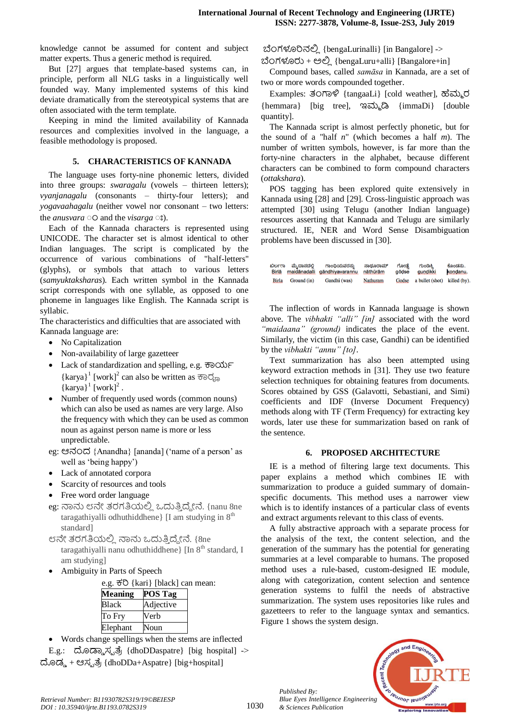knowledge cannot be assumed for content and subject matter experts. Thus a generic method is required.

But [27] argues that template-based systems can, in principle, perform all NLG tasks in a linguistically well founded way. Many implemented systems of this kind deviate dramatically from the stereotypical systems that are often associated with the term template.

Keeping in mind the limited availability of Kannada resources and complexities involved in the language, a feasible methodology is proposed.

# **5. CHARACTERISTICS OF KANNADA**

The language uses forty-nine phonemic letters, divided into three groups: *swaragalu* (vowels – thirteen letters); *vyanjanagalu* (consonants – thirty-four letters); and *yogavaahagalu* (neither vowel nor consonant – two letters: the *anusvara*  $\circ$  o and the *visarga*  $\circ$ **s**).

Each of the Kannada characters is represented using UNICODE. The character set is almost identical to other Indian languages. The script is complicated by the occurrence of various combinations of "half-letters" (glyphs), or symbols that attach to various letters (*samyuktaksharas*). Each written symbol in the Kannada script corresponds with one syllable, as opposed to one phoneme in languages like English. The Kannada script is syllabic.

The characteristics and difficulties that are associated with Kannada language are:

- No Capitalization
- Non-availability of large gazetteer
- Lack of standardization and spelling, e.g.  $\overline{\sigma}$ o O $\overline{\sigma}$ F  $\{karya\}$ <sup>1</sup>  $[work]^2$  can also be written as  $\{karya\}^1$   $[work]^2$ .
- Number of frequently used words (common nouns) which can also be used as names are very large. Also the frequency with which they can be used as common noun as against person name is more or less unpredictable.
- eg: ಆನಂದ {Anandha} [ananda] ('name of a person' as well as 'being happy')
- Lack of annotated corpora
- Scarcity of resources and tools
- Free word order language
- eg: ನಾನು ೮ನೇ ತರಗತಿಯಲ್ಲಿ ಒದುತ್ತಿದ್ದೇನೆ. {nanu 8ne taragathiyalli odhuthiddhene $\vert$  [I am studying in  $8<sup>th</sup>$ ] standard]
- ೮ನೇ ತರಗತಿಯಲ್ಲಿ ನಾನು ಒದುತ್ತಿದ್ದೇನೆ. {8ne taragathiyalli nanu odhuthiddhene $\{$ [In  $8<sup>th</sup>$  standard, I am studying]
- Ambiguity in Parts of Speech

| e.g. <sub>0</sub> 50 {kari} [black] can mean: |                |  |  |  |  |
|-----------------------------------------------|----------------|--|--|--|--|
| <b>Meaning</b>                                | <b>POS Tag</b> |  |  |  |  |
| <b>Black</b>                                  | Adjective      |  |  |  |  |
| To Fry                                        | Verb           |  |  |  |  |
| Elephant                                      | Noun           |  |  |  |  |

- Words change spellings when the stems are inflected
- E.g.: ದೊಡ್ಡಾ ಸ್ಪ ತ್ರೆ {dhoDDaspatre} [big hospital] -> ದೊಡ್ಡ + ಆಸ್ಪತ್ರೆ {dhoDDa+Aspatre} [big+hospital]

{bengaLurinalli} [in Bangalore] ->

 $\dot{\omega}$ Ongod $\dot{\omega}$  +  $\dot{\omega}$  {bengaLuru+alli} [Bangalore+in]

Compound bases, called *samāsa* in Kannada, are a set of two or more words compounded together.

Examples: 30ಗಾಳಿ {tangaaLi} [cold weather], ಹೆಮ್ಮರ {hemmara} [big tree],  $322.2$ } {immaDi} [double quantity].

The Kannada script is almost perfectly phonetic, but for the sound of a "half *n*" (which becomes a half *m*). The number of written symbols, however, is far more than the forty-nine characters in the alphabet, because different characters can be combined to form compound characters (*ottakshara*).

POS tagging has been explored quite extensively in Kannada using [28] and [29]. Cross-linguistic approach was attempted [30] using Telugu (another Indian language) resources asserting that Kannada and Telugu are similarly structured. IE, NER and Word Sense Disambiguation problems have been discussed in [30].

| ಬಿರ್ಲರಾ      | ಮೆ.ದಾನದಲಿ   | ಗಾಂಧಿಯವರನ್ನು                 | ನಾದೂರಾಮ್ | ಗೋಡೆ  | ಗುಂಡಿಕ್ಕಿ                          | ಕೊಂಡನು.  |
|--------------|-------------|------------------------------|----------|-------|------------------------------------|----------|
| Birlā        |             | maidānadalli gāndhiyavarannu | nāthūrām | gōdse | <b>aundikki</b>                    | kondanu. |
| <b>Birla</b> | Ground (in) | Gandhi (was)                 | Nathuram |       | Godse a bullet (shot) killed (by). |          |

The inflection of words in Kannada language is shown above. The *vibhakti "alli" [in]* associated with the word *"maidaana" (ground)* indicates the place of the event. Similarly, the victim (in this case, Gandhi) can be identified by the *vibhakti "annu" [to]*.

Text summarization has also been attempted using keyword extraction methods in [31]. They use two feature selection techniques for obtaining features from documents. Scores obtained by GSS (Galavotti, Sebastiani, and Simi) coefficients and IDF (Inverse Document Frequency) methods along with TF (Term Frequency) for extracting key words, later use these for summarization based on rank of the sentence.

# **6. PROPOSED ARCHITECTURE**

IE is a method of filtering large text documents. This paper explains a method which combines IE with summarization to produce a guided summary of domainspecific documents. This method uses a narrower view which is to identify instances of a particular class of events and extract arguments relevant to this class of events.

A fully abstractive approach with a separate process for the analysis of the text, the content selection, and the generation of the summary has the potential for generating summaries at a level comparable to humans. The proposed method uses a rule-based, custom-designed IE module, along with categorization, content selection and sentence generation systems to fulfil the needs of abstractive summarization. The system uses repositories like rules and gazetteers to refer to the language syntax and semantics. Figure 1 shows the system design.



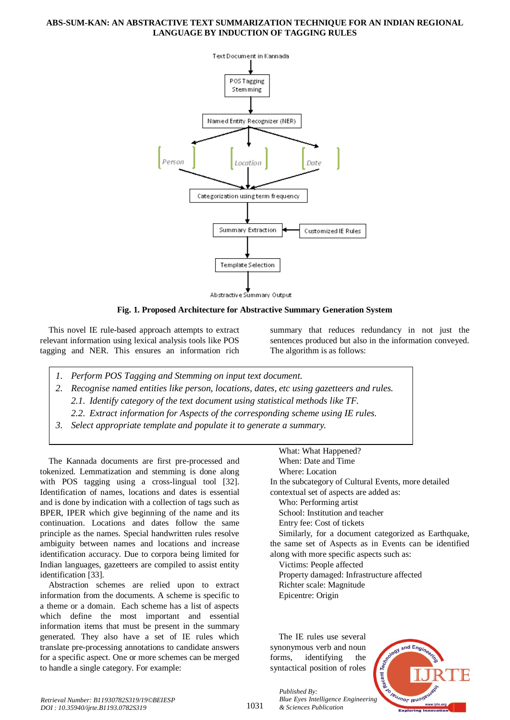

**Fig. 1. Proposed Architecture for Abstractive Summary Generation System**

This novel IE rule-based approach attempts to extract relevant information using lexical analysis tools like POS tagging and NER. This ensures an information rich

summary that reduces redundancy in not just the sentences produced but also in the information conveyed. The algorithm is as follows:

- *1. Perform POS Tagging and Stemming on input text document.*
- *2. Recognise named entities like person, locations, dates, etc using gazetteers and rules. 2.1. Identify category of the text document using statistical methods like TF.*
	- *2.2. Extract information for Aspects of the corresponding scheme using IE rules.*
- *3. Select appropriate template and populate it to generate a summary.*

The Kannada documents are first pre-processed and tokenized. Lemmatization and stemming is done along with POS tagging using a cross-lingual tool [32]. Identification of names, locations and dates is essential and is done by indication with a collection of tags such as BPER, IPER which give beginning of the name and its continuation. Locations and dates follow the same principle as the names. Special handwritten rules resolve ambiguity between names and locations and increase identification accuracy. Due to corpora being limited for Indian languages, gazetteers are compiled to assist entity identification [33].

Abstraction schemes are relied upon to extract information from the documents. A scheme is specific to a theme or a domain. Each scheme has a list of aspects which define the most important and essential information items that must be present in the summary generated. They also have a set of IE rules which translate pre-processing annotations to candidate answers for a specific aspect. One or more schemes can be merged to handle a single category. For example:

What: What Happened? When: Date and Time Where: Location In the subcategory of Cultural Events, more detailed contextual set of aspects are added as: Who: Performing artist School: Institution and teacher Entry fee: Cost of tickets Similarly, for a document categorized as Earthquake, the same set of Aspects as in Events can be identified along with more specific aspects such as: Victims: People affected Property damaged: Infrastructure affected Richter scale: Magnitude Epicentre: Origin

The IE rules use several synonymous verb and noun forms, identifying the syntactical position of roles

*Published By:*

*& Sciences Publication* 



1031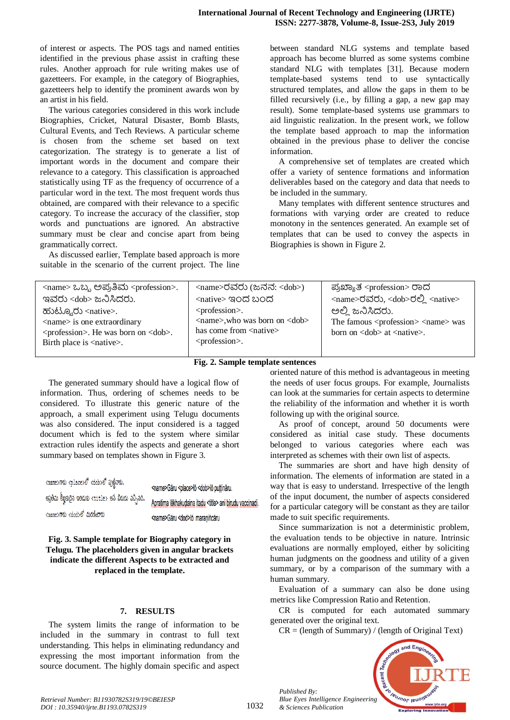of interest or aspects. The POS tags and named entities identified in the previous phase assist in crafting these rules. Another approach for rule writing makes use of gazetteers. For example, in the category of Biographies, gazetteers help to identify the prominent awards won by an artist in his field.

The various categories considered in this work include Biographies, Cricket, Natural Disaster, Bomb Blasts, Cultural Events, and Tech Reviews. A particular scheme is chosen from the scheme set based on text categorization. The strategy is to generate a list of important words in the document and compare their relevance to a category. This classification is approached statistically using TF as the frequency of occurrence of a particular word in the text. The most frequent words thus obtained, are compared with their relevance to a specific category. To increase the accuracy of the classifier, stop words and punctuations are ignored. An abstractive summary must be clear and concise apart from being grammatically correct.

As discussed earlier, Template based approach is more suitable in the scenario of the current project. The line between standard NLG systems and template based approach has become blurred as some systems combine standard NLG with templates [31]. Because modern template-based systems tend to use syntactically structured templates, and allow the gaps in them to be filled recursively (i.e., by filling a gap, a new gap may result). Some template-based systems use grammars to aid linguistic realization. In the present work, we follow the template based approach to map the information obtained in the previous phase to deliver the concise information.

A comprehensive set of templates are created which offer a variety of sentence formations and information deliverables based on the category and data that needs to be included in the summary.

Many templates with different sentence structures and formations with varying order are created to reduce monotony in the sentences generated. An example set of templates that can be used to convey the aspects in Biographies is shown in Figure 2.

| <name> ಒಬ್ಬ ಅಪ್ರತಿಮ <profession>.</profession></name>                                                                                                                                              | <name>ರವರು (ಜನನ: <dob>)</dob></name>                                                                                                         | ಪ್ರಖ್ಯಾತ <profession> ರಾದ</profession>                                                                                  |
|----------------------------------------------------------------------------------------------------------------------------------------------------------------------------------------------------|----------------------------------------------------------------------------------------------------------------------------------------------|-------------------------------------------------------------------------------------------------------------------------|
| ಇವರು <dob> ಜನಿಸಿದರು.</dob>                                                                                                                                                                         | <native> ಇಂದ ಬಂದ</native>                                                                                                                    | <name>ರವರು, <dob>ರಲ್ಲಿ <native></native></dob></name>                                                                   |
| ಹುಟ್ಟೂರು <native>.<br/><math>\langle</math>name<math>\rangle</math> is one extraordinary<br/><profession>. He was born on <dob>.<br/>Birth place is <native>.</native></dob></profession></native> | <profession>.<br/><name>, who was born on <dob><br/>has come from <native><br/><profession>.</profession></native></dob></name></profession> | ಅಲ್ಲಿ ಜನಿಸಿದರು.<br>The famous <profession> <name> was<br/>born on <dob> at <native>.</native></dob></name></profession> |
|                                                                                                                                                                                                    |                                                                                                                                              |                                                                                                                         |

#### **Fig. 2. Sample template sentences**

The generated summary should have a logical flow of information. Thus, ordering of schemes needs to be considered. To illustrate this generic nature of the approach, a small experiment using Telugu documents was also considered. The input considered is a tagged document which is fed to the system where similar extraction rules identify the aspects and generate a short summary based on templates shown in Figure 3.

| <name>గారు <place>లో <dob>లో పుట్టినారు.</dob></place></name>   | <name>Gāru <place>lō <dob>lō puțțināru.</dob></place></name>      |
|-----------------------------------------------------------------|-------------------------------------------------------------------|
| -అప్రతీమ లీఖ్హకుదైన ఇతడుకు <title> అనే బిరుదు వచ్చినది.</title> | Apratima lēkhakudaina itadu <title> ani birudu vaccinadi.</title> |
| <name>గారు <dod>లో మరణించారు</dod></name>                       | <name>Gāru <dod>lō maraniñcāru</dod></name>                       |

**Fig. 3. Sample template for Biography category in Telugu. The placeholders given in angular brackets indicate the different Aspects to be extracted and replaced in the template.**

#### **7. RESULTS**

The system limits the range of information to be included in the summary in contrast to full text understanding. This helps in eliminating redundancy and expressing the most important information from the source document. The highly domain specific and aspect oriented nature of this method is advantageous in meeting the needs of user focus groups. For example, Journalists can look at the summaries for certain aspects to determine the reliability of the information and whether it is worth following up with the original source.

As proof of concept, around 50 documents were considered as initial case study. These documents belonged to various categories where each was interpreted as schemes with their own list of aspects.

The summaries are short and have high density of information. The elements of information are stated in a way that is easy to understand. Irrespective of the length of the input document, the number of aspects considered for a particular category will be constant as they are tailor made to suit specific requirements.

Since summarization is not a deterministic problem, the evaluation tends to be objective in nature. Intrinsic evaluations are normally employed, either by soliciting human judgments on the goodness and utility of a given summary, or by a comparison of the summary with a human summary.

Evaluation of a summary can also be done using metrics like Compression Ratio and Retention.

CR is computed for each automated summary generated over the original text.

 $CR = (length of Summary) / (length of Original Text)$ 



*Published By:*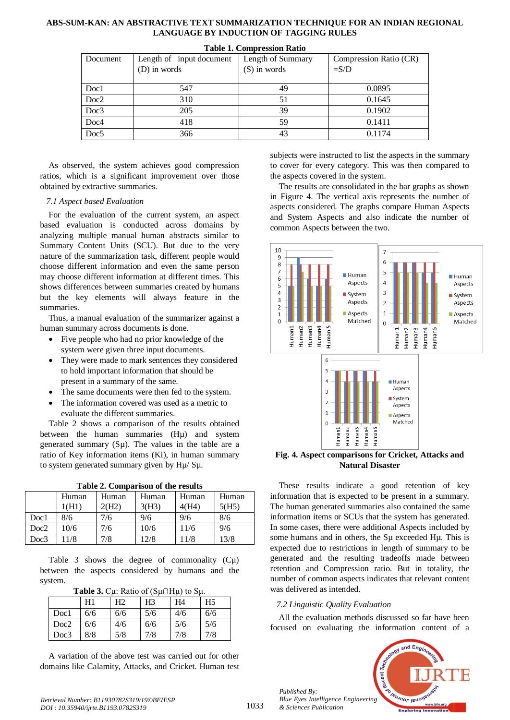| Document         | Length of input document | Length of Summary | Compression Ratio (CR) |  |  |  |  |
|------------------|--------------------------|-------------------|------------------------|--|--|--|--|
|                  | (D) in words             | $(S)$ in words    | $=$ S/D                |  |  |  |  |
|                  |                          |                   |                        |  |  |  |  |
| Doc1             | 547                      | 49                | 0.0895                 |  |  |  |  |
| Doc2             | 310                      | 51                | 0.1645                 |  |  |  |  |
| Doc3             | 205                      | 39                | 0.1902                 |  |  |  |  |
| Doc <sub>4</sub> | 418                      | 59                | 0.1411                 |  |  |  |  |
| Doc <sub>5</sub> | 366                      | 43                | 0.1174                 |  |  |  |  |

#### **Table 1. Compression Ratio**

As observed, the system achieves good compression ratios, which is a significant improvement over those obtained by extractive summaries.

#### *7.1 Aspect based Evaluation*

For the evaluation of the current system, an aspect based evaluation is conducted across domains by analyzing multiple manual human abstracts similar to Summary Content Units (SCU). But due to the very nature of the summarization task, different people would choose different information and even the same person may choose different information at different times. This shows differences between summaries created by humans but the key elements will always feature in the summaries.

Thus, a manual evaluation of the summarizer against a human summary across documents is done.

- Five people who had no prior knowledge of the system were given three input documents.
- They were made to mark sentences they considered to hold important information that should be present in a summary of the same.
- The same documents were then fed to the system.
- The information covered was used as a metric to evaluate the different summaries.

Table 2 shows a comparison of the results obtained between the human summaries (Hµ) and system generated summary  $(S\mu)$ . The values in the table are a ratio of Key information items (Ki), in human summary to system generated summary given by Hµ/ Sµ.

| Table 2. Comparison of the results |  |
|------------------------------------|--|
|                                    |  |

|      | Human | Human | Human | Human | Human |
|------|-------|-------|-------|-------|-------|
|      | 1(H1) | 2(H2) | 3(H3) | 4(H4) | 5(H5) |
| Doc1 | 8/6   | 7/6   | 9/6   | 9/6   | 8/6   |
| Doc2 | 10/6  | 7/6   | 10/6  | 11/6  | 9/6   |
| Doc3 | 11/8  | 7/8   | 12/8  | 11/8  | 13/8  |

Table 3 shows the degree of commonality  $(C\mu)$ between the aspects considered by humans and the system.

| Table 3. $C\mu$ : Ratio of ( $S\mu$ ∩H $\mu$ ) to $S\mu$ . |  |  |  |
|------------------------------------------------------------|--|--|--|
|------------------------------------------------------------|--|--|--|

|      | H1  | Η2  | H <sub>3</sub> | H4  | H <sub>5</sub> |
|------|-----|-----|----------------|-----|----------------|
| Doc1 | 6/6 | 6/6 | 5/6            | 4/6 | 6/6            |
| Doc2 | 6/6 | 4/6 | 6/6            | 5/6 | 5/6            |
| Doc3 | 8/8 | 5/8 | 7/8            | 7/8 | 7/8            |

A variation of the above test was carried out for other domains like Calamity, Attacks, and Cricket. Human test subjects were instructed to list the aspects in the summary to cover for every category. This was then compared to the aspects covered in the system.

The results are consolidated in the bar graphs as shown in Figure 4. The vertical axis represents the number of aspects considered. The graphs compare Human Aspects and System Aspects and also indicate the number of common Aspects between the two.



**Fig. 4. Aspect comparisons for Cricket, Attacks and Natural Disaster**

These results indicate a good retention of key information that is expected to be present in a summary. The human generated summaries also contained the same information items or SCUs that the system has generated. In some cases, there were additional Aspects included by some humans and in others, the S<sub>µ</sub> exceeded H<sub>µ</sub>. This is expected due to restrictions in length of summary to be generated and the resulting tradeoffs made between retention and Compression ratio. But in totality, the number of common aspects indicates that relevant content was delivered as intended.

#### *7.2 Linguistic Quality Evaluation*

All the evaluation methods discussed so far have been focused on evaluating the information content of a



*Published By:*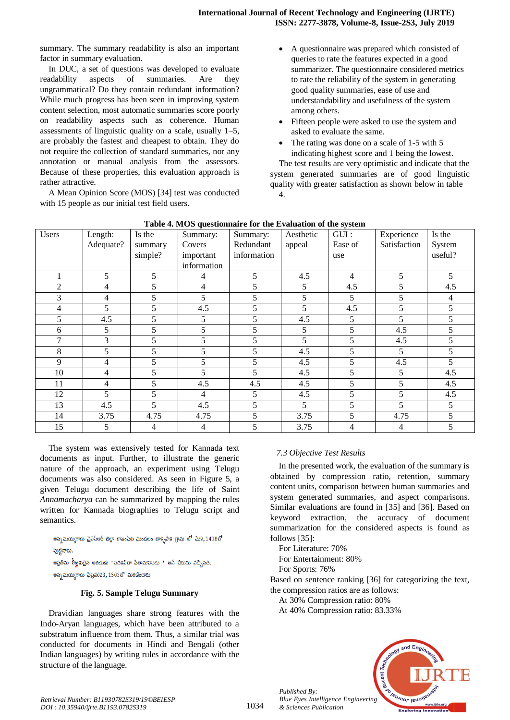summary. The summary readability is also an important factor in summary evaluation.

In DUC, a set of questions was developed to evaluate readability aspects of summaries. Are they ungrammatical? Do they contain redundant information? While much progress has been seen in improving system content selection, most automatic summaries score poorly on readability aspects such as coherence. Human assessments of linguistic quality on a scale, usually 1–5, are probably the fastest and cheapest to obtain. They do not require the collection of standard summaries, nor any annotation or manual analysis from the assessors. Because of these properties, this evaluation approach is rather attractive.

A Mean Opinion Score (MOS) [34] test was conducted with 15 people as our initial test field users.

- A questionnaire was prepared which consisted of queries to rate the features expected in a good summarizer. The questionnaire considered metrics to rate the reliability of the system in generating good quality summaries, ease of use and understandability and usefulness of the system among others.
- Fifteen people were asked to use the system and asked to evaluate the same.
- The rating was done on a scale of 1-5 with 5 indicating highest score and 1 being the lowest.

The test results are very optimistic and indicate that the system generated summaries are of good linguistic quality with greater satisfaction as shown below in table 4.

| <b>Lable 4.</b> MOS questionnan e for the Evaluation of the system |           |         |             |             |           |                |              |                |
|--------------------------------------------------------------------|-----------|---------|-------------|-------------|-----------|----------------|--------------|----------------|
| Users                                                              | Length:   | Is the  | Summary:    | Summary:    | Aesthetic | GUI:           | Experience   | Is the         |
|                                                                    | Adequate? | summary | Covers      | Redundant   | appeal    | Ease of        | Satisfaction | System         |
|                                                                    |           | simple? | important   | information |           | use            |              | useful?        |
|                                                                    |           |         | information |             |           |                |              |                |
|                                                                    | 5         | 5       | 4           | 5           | 4.5       | $\overline{4}$ | 5            | 5              |
| 2                                                                  | 4         | 5       | 4           |             | 5         | 4.5            | 5            | 4.5            |
| 3                                                                  | 4         | 5       | 5           | 5           | 5         | 5              | 5            | $\overline{4}$ |
| $\overline{4}$                                                     | 5         | 5       | 4.5         | 5           | 5         | 4.5            | 5            | 5              |
| 5                                                                  | 4.5       | 5       | 5           | 5           | 4.5       | 5              | 5            | 5              |
| 6                                                                  | 5         | 5       | 5           | 5           | 5         | 5              | 4.5          | 5              |
| 7                                                                  | 3         | 5       | 5           | 5           | 5         | 5              | 4.5          | 5              |
| 8                                                                  | 5         | 5       | 5           | 5           | 4.5       | 5              | 5            | 5              |
| 9                                                                  | 4         | 5       | 5           | 5           | 4.5       | 5              | 4.5          | 5              |
| 10                                                                 | 4         | 5       | 5           | 5           | 4.5       | 5              | 5            | 4.5            |
| 11                                                                 | 4         | 5       | 4.5         | 4.5         | 4.5       | 5              | 5            | 4.5            |
| 12                                                                 | 5         | 5       | 4           | 5           | 4.5       | 5              | 5            | 4.5            |
| 13                                                                 | 4.5       | 5       | 4.5         | 5           | 5         | 5              | 5            | 5              |
| 14                                                                 | 3.75      | 4.75    | 4.75        | 5           | 3.75      | 5              | 4.75         | 5              |
| 15                                                                 | 5         | 4       | 4           | 5           | 3.75      | $\overline{4}$ | 4            | 5              |

**Table 4. MOS questionnaire for the Evaluation of the system**

The system was extensively tested for Kannada text documents as input. Further, to illustrate the generic nature of the approach, an experiment using Telugu documents was also considered. As seen in Figure 5, a given Telugu document describing the life of Saint *Annamacharya* can be summarized by mapping the rules written for Kannada biographies to Telugu script and semantics.

అన్నమయ్యగారు వైఎస్ఆర్ జిల్లా రాజంపేట మండలం తాళ్ళపాక గ్రామ లో మే9,1408లో పుటివారు. అప్రతిమ లీఖకుదైన ఇతడుకు "పదకవితా పితామహుడు " అనే బిరుదు వచ్చినది.

అన్నమయ్యగారు ఫిబ్రవరి23, 1503లో మరణించారు

# **Fig. 5. Sample Telugu Summary**

Dravidian languages share strong features with the Indo-Aryan languages, which have been attributed to a substratum influence from them. Thus, a similar trial was conducted for documents in Hindi and Bengali (other Indian languages) by writing rules in accordance with the structure of the language.

# *7.3 Objective Test Results*

In the presented work, the evaluation of the summary is obtained by compression ratio, retention, summary content units, comparison between human summaries and system generated summaries, and aspect comparisons. Similar evaluations are found in [35] and [36]. Based on keyword extraction, the accuracy of document summarization for the considered aspects is found as follows [35]:

For Literature: 70%

*Published By:*

*& Sciences Publication* 

For Entertainment: 80%

For Sports: 76%

Based on sentence ranking [36] for categorizing the text, the compression ratios are as follows:

At 30% Compression ratio: 80%

At 40% Compression ratio: 83.33%

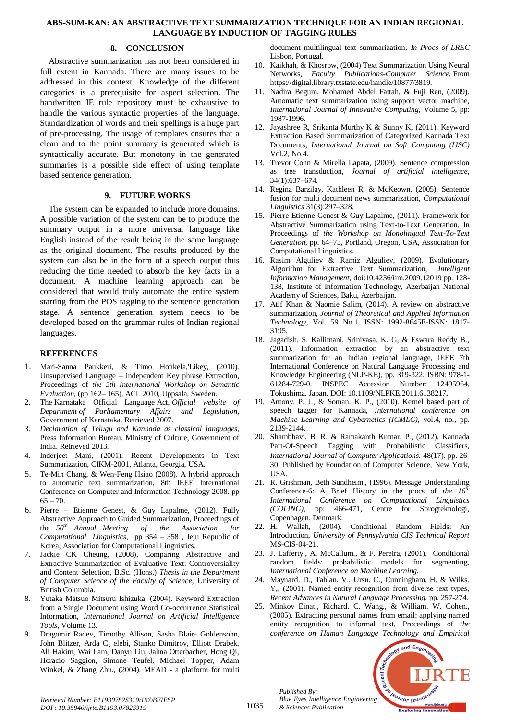# **8. CONCLUSION**

Abstractive summarization has not been considered in full extent in Kannada. There are many issues to be addressed in this context. Knowledge of the different categories is a prerequisite for aspect selection. The handwritten IE rule repository must be exhaustive to handle the various syntactic properties of the language. Standardization of words and their spellings is a huge part of pre-processing. The usage of templates ensures that a clean and to the point summary is generated which is syntactically accurate. But monotony in the generated summaries is a possible side effect of using template based sentence generation.

# **9. FUTURE WORKS**

The system can be expanded to include more domains. A possible variation of the system can be to produce the summary output in a more universal language like English instead of the result being in the same language as the original document. The results produced by the system can also be in the form of a speech output thus reducing the time needed to absorb the key facts in a document. A machine learning approach can be considered that would truly automate the entire system starting from the POS tagging to the sentence generation stage. A sentence generation system needs to be developed based on the grammar rules of Indian regional languages.

# **REFERENCES**

- 1. Mari-Sanna Paukkeri, & Timo Honkela, Likey, (2010). Unsupervised Language – independent Key phrase Extraction, Proceedings of *the 5th International Workshop on Semantic Evaluation*, (pp 162– 165), ACL 2010, Uppsala, Sweden.
- 2. The Karnataka Official Language Act, *Official website of Department of Parliamentary Affairs and Legislation,* Government of Karnataka. Retrieved 2007.
- 3. *Declaration of Telugu and Kannada as classical languages*, Press Information Bureau. Ministry of Culture, Government of India. Retrieved 2013.
- Inderjeet Mani, (2001). Recent Developments in Text Summarization, CIKM-2001, Atlanta, Georgia, USA.
- 5. Te-Min Chang, & Wen-Feng Hsiao (2008). A hybrid approach to automatic text summarization, 8th IEEE International Conference on [Computer and Information Technology 2008. pp](http://ieeexplore.ieee.org/xpl/mostRecentIssue.jsp?punumber=4586225)   $65 - 70.$
- 6. Pierre Etienne Genest, & Guy Lapalme, (2012). Fully Abstractive Approach to Guided Summarization, Proceedings of the *50th Annual Meeting of the Association for Computational Linguistics,* pp 354 – 358 , Jeju Republic of Korea, Association for Computational Linguistics.
- 7. Jackie CK Cheung, (2008), Comparing Abstractive and Extractive Summarization of Evaluative Text: Controversiality and Content Selection, B.Sc. (Hons.) *Thesis in the Department of Computer Science of the Faculty of Science,* University of British Columbia.
- 8. Yutaka Matsuo Mitsuru Ishizuka, (2004). Keyword Extraction from a Single Document using Word Co-occurrence Statistical Information, *International Journal on Artificial Intelligence Tools*, Volume 13.
- 9. Dragomir Radev, Timothy Allison, Sasha Blair- Goldensohn, John Blitzer, Arda C¸ elebi, Stanko Dimitrov, Elliott Drabek, Ali Hakim, Wai Lam, Danyu Liu, Jahna Otterbacher, Hong Qi, Horacio Saggion, Simone Teufel, Michael Topper, Adam Winkel, & Zhang Zhu., (2004). MEAD - a platform for multi

document multilingual text summarization, *In Procs of LREC* Lisbon, Portugal.

- 10. Kaikhah, & Khosrow, (2004) Text Summarization Using Neural Networks, *Faculty Publications-Computer Science.* From https://digital.library.txstate.edu/handle/10877/3819.
- 11. Nadira Begum, Mohamed Abdel Fattah, & Fuji Ren, (2009). Automatic text summarization using support vector machine, *International Journal of Innovative Computing,* Volume 5, pp: 1987-1996.
- 12. Jayashree R, Srikanta Murthy K & Sunny K, (2011). Keyword Extraction Based Summarization of Categorized Kannada Text Documents, *International Journal on Soft Computing (IJSC)* Vol.2, No.4.
- 13. Trevor Cohn & Mirella Lapata, (2009). Sentence compression as tree transduction, *Journal of artificial intelligence*, 34(1):637–674.
- 14. Regina Barzilay, Kathleen R, & McKeown, (2005). Sentence fusion for multi document news summarization, *Computational Linguistics* 31(3):297–328.
- 15. Pierre-Etienne Genest & Guy Lapalme, (2011). Framework for Abstractive Summarization using Text-to-Text Generation, In Proceedings of *the Workshop on Monolingual Text-To-Text Generation*, pp. 64–73, Portland, Oregon, USA, Association for Computational Linguistics.
- 16. Rasim Alguliev & Ramiz Alguliev, (2009). Evolutionary Algorithm for Extractive Text Summarization, *Intelligent Information Management,* doi:10.4236/iim.2009.12019 pp. 128- 138, Institute of Information Technology, Azerbaijan National Academy of Sciences, Baku, Azerbaijan.
- 17. Atif Khan & Naomie Salim, (2014). A review on abstractive summarization, *Journal of Theoretical and Applied Information Technology,* Vol. 59 No.1, ISSN: 1992-8645E-ISSN: 1817- 3195.
- 18. Jagadish. S. Kallimani, Srinivasa. K. G, & Eswara Reddy B., (2011). Information extraction by an abstractive text summarization for an Indian regional language, IEEE 7th International Conference on [Natural Language Processing and](http://ieeexplore.ieee.org/xpl/mostRecentIssue.jsp?punumber=6125888)  [Knowledge Engineering \(NLP-KE\), p](http://ieeexplore.ieee.org/xpl/mostRecentIssue.jsp?punumber=6125888)p. 319-322. ISBN: 978-1- 61284-729-0. INSPEC Accession Number: 12495964, Tokushima, Japan. DOI: [10.1109/NLPKE.2011.6138217](http://dx.doi.org/10.1109/NLPKE.2011.6138217)**.**
- 19. Antony. P. J., & Soman. K. P., (2010). Kernel based part of speech tagger for Kannada, *International conference on Machine Learning and Cybernetics (ICMLC)*, vol.4, no., pp. 2139-2144.
- 20. Shambhavi. B. R. & Ramakanth Kumar. P., (2012). Kannada Part-Of-Speech Tagging with Probabilistic Classifiers, *International Journal of Computer Applications.* 48(17). pp. 26- 30, Published by Foundation of Computer Science, New York, USA.
- 21. R. Grishman, Beth Sundheim., (1996). Message Understanding Conference-6: A Brief History in the procs of *the 16th International Conference on Computational Linguistics (COLING),* pp: 466-471, Centre for Sprogteknologi, Copenhagen, Denmark.
- 22. H. Wallah, (2004). Conditional Random Fields: An Introduction, *University of Pennsylvania CIS Technical Report* MS-CIS-04-21.
- 23. J. Lafferty., A. McCallum., & F. Pereira, (2001). Conditional random fields: probabilistic models for segmenting, *International Conference on Machine Learning.*
- 24. Maynard. D., Tablan. V., Ursu. C., Cunningham. H. & Wilks. Y,, (2001). Named entity recognition from diverse text types, *Recent Advances in Natural Language Processing.* pp. 257-274.
- 25. Minkov Einat., Richard. C. Wang., & William. W. Cohen., (2005). Extracting personal names from email: applying named entity recognition to informal text, Proceedings of *the conference on Human Language Technology and Empirical*



*Retrieval Number: B11930782S319/19©BEIESP DOI : 10.35940/ijrte.B1193.0782S319*

*Published By: Blue Eyes Intelligence Engineering & Sciences Publication*